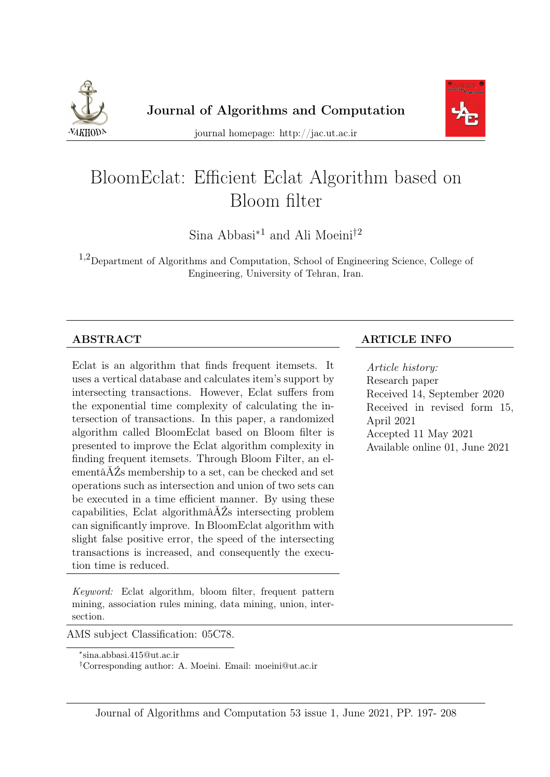



journal homepage: http://jac.ut.ac.ir

# BloomEclat: Efficient Eclat Algorithm based on Bloom filter

Sina Abbasi<sup>∗</sup><sup>1</sup> and Ali Moeini†<sup>2</sup>

1,2Department of Algorithms and Computation, School of Engineering Science, College of Engineering, University of Tehran, Iran.

Eclat is an algorithm that finds frequent itemsets. It uses a vertical database and calculates item's support by intersecting transactions. However, Eclat suffers from the exponential time complexity of calculating the intersection of transactions. In this paper, a randomized algorithm called BloomEclat based on Bloom filter is presented to improve the Eclat algorithm complexity in finding frequent itemsets. Through Bloom Filter, an elementâĂŹs membership to a set, can be checked and set operations such as intersection and union of two sets can be executed in a time efficient manner. By using these capabilities, Eclat algorithmâĂŹs intersecting problem can significantly improve. In BloomEclat algorithm with slight false positive error, the speed of the intersecting transactions is increased, and consequently the execution time is reduced.

Keyword: Eclat algorithm, bloom filter, frequent pattern mining, association rules mining, data mining, union, intersection.

AMS subject Classification: 05C78.

#### ABSTRACT ARTICLE INFO

Article history: Research paper Received 14, September 2020 Received in revised form 15, April 2021 Accepted 11 May 2021 Available online 01, June 2021

<sup>∗</sup> sina.abbasi.415@ut.ac.ir

<sup>†</sup>Corresponding author: A. Moeini. Email: moeini@ut.ac.ir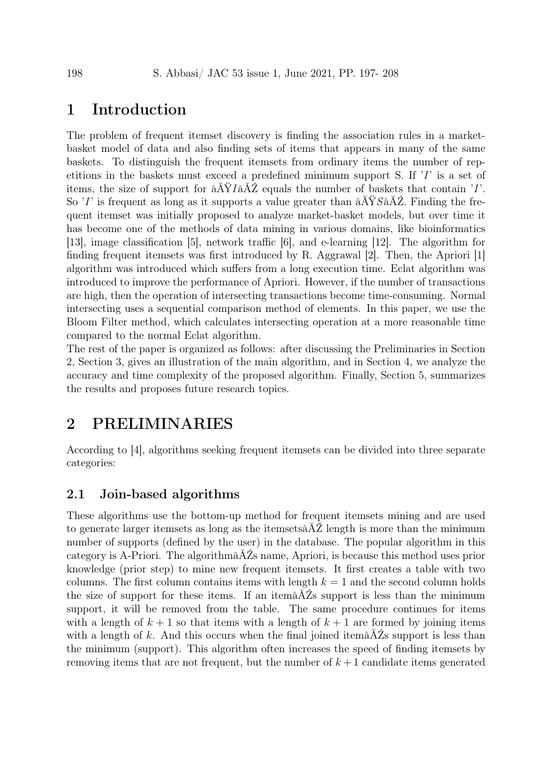# 1 Introduction

The problem of frequent itemset discovery is finding the association rules in a marketbasket model of data and also finding sets of items that appears in many of the same baskets. To distinguish the frequent itemsets from ordinary items the number of repetitions in the baskets must exceed a predefined minimum support S. If 'I' is a set of items, the size of support for  $\hat{a}AYI\hat{a}AZ$  equals the number of baskets that contain 'I'. So 'I' is frequent as long as it supports a value greater than  $\frac{\partial A}{\partial X}$ . Finding the frequent itemset was initially proposed to analyze market-basket models, but over time it has become one of the methods of data mining in various domains, like bioinformatics [\[13\]](#page-10-0), image classification [\[5\]](#page-10-1), network traffic [\[6\]](#page-10-2), and e-learning [\[12\]](#page-10-3). The algorithm for finding frequent itemsets was first introduced by R. Aggrawal  $|2|$ . Then, the Apriori  $|1|$ algorithm was introduced which suffers from a long execution time. Eclat algorithm was introduced to improve the performance of Apriori. However, if the number of transactions are high, then the operation of intersecting transactions become time-consuming. Normal intersecting uses a sequential comparison method of elements. In this paper, we use the Bloom Filter method, which calculates intersecting operation at a more reasonable time compared to the normal Eclat algorithm.

The rest of the paper is organized as follows: after discussing the Preliminaries in Section [2,](#page-1-0) Section [3,](#page-4-0) gives an illustration of the main algorithm, and in Section [4,](#page-6-0) we analyze the accuracy and time complexity of the proposed algorithm. Finally, Section [5,](#page-9-0) summarizes the results and proposes future research topics.

# <span id="page-1-0"></span>2 PRELIMINARIES

According to [\[4\]](#page-10-6), algorithms seeking frequent itemsets can be divided into three separate categories:

#### 2.1 Join-based algorithms

These algorithms use the bottom-up method for frequent itemsets mining and are used to generate larger itemsets as long as the itemsetsâĂŹ length is more than the minimum number of supports (defined by the user) in the database. The popular algorithm in this category is A-Priori. The algorithmâĂŹs name, Apriori, is because this method uses prior knowledge (prior step) to mine new frequent itemsets. It first creates a table with two columns. The first column contains items with length  $k = 1$  and the second column holds the size of support for these items. If an itemâĂŹs support is less than the minimum support, it will be removed from the table. The same procedure continues for items with a length of  $k + 1$  so that items with a length of  $k + 1$  are formed by joining items with a length of k. And this occurs when the final joined itema $\tilde{A}Z$ s support is less than the minimum (support). This algorithm often increases the speed of finding itemsets by removing items that are not frequent, but the number of  $k+1$  candidate items generated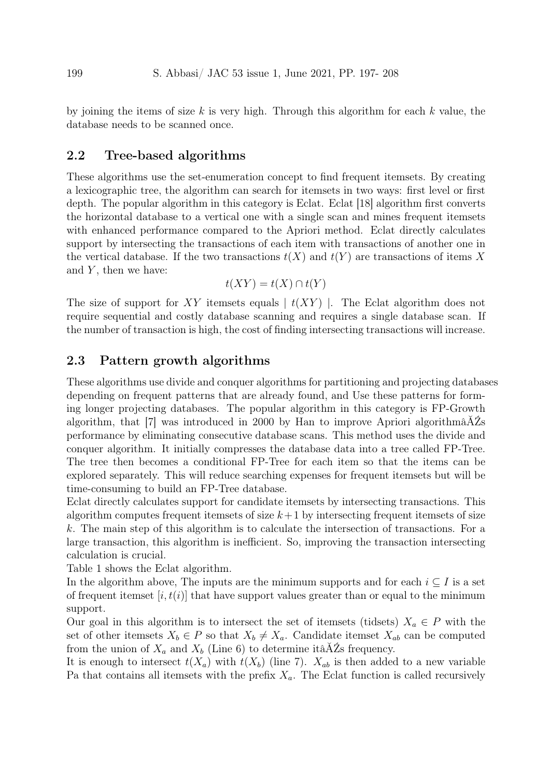by joining the items of size  $k$  is very high. Through this algorithm for each  $k$  value, the database needs to be scanned once.

#### 2.2 Tree-based algorithms

These algorithms use the set-enumeration concept to find frequent itemsets. By creating a lexicographic tree, the algorithm can search for itemsets in two ways: first level or first depth. The popular algorithm in this category is Eclat. Eclat [\[18\]](#page-11-0) algorithm first converts the horizontal database to a vertical one with a single scan and mines frequent itemsets with enhanced performance compared to the Apriori method. Eclat directly calculates support by intersecting the transactions of each item with transactions of another one in the vertical database. If the two transactions  $t(X)$  and  $t(Y)$  are transactions of items X and  $Y$ , then we have:

$$
t(XY) = t(X) \cap t(Y)
$$

The size of support for XY itemsets equals  $\mid t(XY) \mid$ . The Eclat algorithm does not require sequential and costly database scanning and requires a single database scan. If the number of transaction is high, the cost of finding intersecting transactions will increase.

#### 2.3 Pattern growth algorithms

These algorithms use divide and conquer algorithms for partitioning and projecting databases depending on frequent patterns that are already found, and Use these patterns for forming longer projecting databases. The popular algorithm in this category is FP-Growth algorithm, that [\[7\]](#page-10-7) was introduced in 2000 by Han to improve Apriori algorithmâAZs performance by eliminating consecutive database scans. This method uses the divide and conquer algorithm. It initially compresses the database data into a tree called FP-Tree. The tree then becomes a conditional FP-Tree for each item so that the items can be explored separately. This will reduce searching expenses for frequent itemsets but will be time-consuming to build an FP-Tree database.

Eclat directly calculates support for candidate itemsets by intersecting transactions. This algorithm computes frequent itemsets of size  $k+1$  by intersecting frequent itemsets of size k. The main step of this algorithm is to calculate the intersection of transactions. For a large transaction, this algorithm is inefficient. So, improving the transaction intersecting calculation is crucial.

Table 1 shows the Eclat algorithm.

In the algorithm above, The inputs are the minimum supports and for each  $i \subseteq I$  is a set of frequent itemset  $[i, t(i)]$  that have support values greater than or equal to the minimum support.

Our goal in this algorithm is to intersect the set of itemsets (tidsets)  $X_a \in P$  with the set of other itemsets  $X_b \in P$  so that  $X_b \neq X_a$ . Candidate itemset  $X_{ab}$  can be computed from the union of  $X_a$  and  $X_b$  (Line 6) to determine itâAZs frequency.

It is enough to intersect  $t(X_a)$  with  $t(X_b)$  (line 7).  $X_{ab}$  is then added to a new variable Pa that contains all itemsets with the prefix  $X_a$ . The Eclat function is called recursively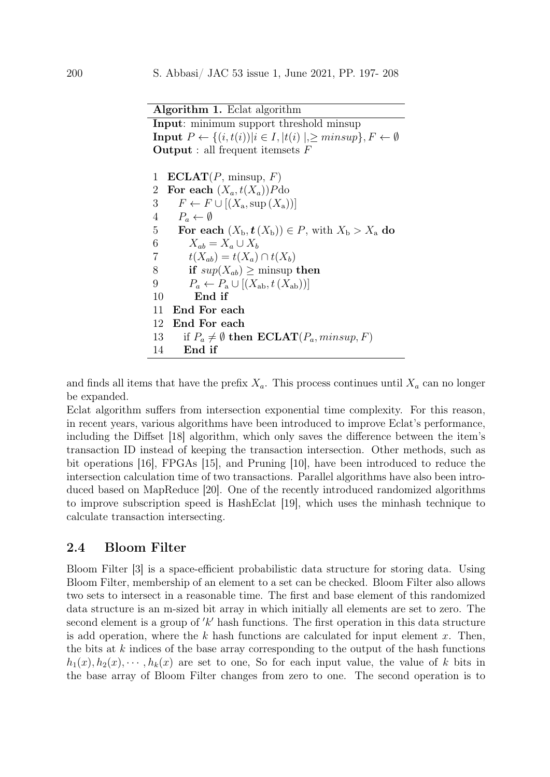Algorithm 1. Eclat algorithm

Input: minimum support threshold minsup **Input**  $P \leftarrow \{(i, t(i)) | i \in I, |t(i)|, \geq minsup\}, F \leftarrow \emptyset$ **Output** : all frequent itemsets  $F$ 

1 ECLAT $(P, \text{minsup}, F)$ 2 For each  $(X_a, t(X_a))P$ do 3  $F \leftarrow F \cup [(X_{\rm a}, \sup(X_{\rm a}))]$ 4  $P_a \leftarrow \emptyset$ 5 For each  $(X_{\mathbf{b}}, \mathbf{t}(X_{\mathbf{b}})) \in P$ , with  $X_{\mathbf{b}} > X_{\mathbf{a}}$  do 6  $X_{ab} = X_a \cup X_b$ 7  $t(X_{ab}) = t(X_a) \cap t(X_b)$ 8 if  $sup(X_{ab}) \ge$  minsup then 9  $P_a \leftarrow P_a \cup [(X_{ab}, t(X_{ab}))]$ 10 End if 11 End For each 12 End For each 13 if  $P_a \neq \emptyset$  then  $\mathbf{ECLAT}(P_a, minsup, F)$ 14 End if

and finds all items that have the prefix  $X_a$ . This process continues until  $X_a$  can no longer be expanded.

Eclat algorithm suffers from intersection exponential time complexity. For this reason, in recent years, various algorithms have been introduced to improve Eclat's performance, including the Diffset [\[18\]](#page-11-0) algorithm, which only saves the difference between the item's transaction ID instead of keeping the transaction intersection. Other methods, such as bit operations [\[16\]](#page-11-1), FPGAs [\[15\]](#page-11-2), and Pruning [\[10\]](#page-10-8), have been introduced to reduce the intersection calculation time of two transactions. Parallel algorithms have also been introduced based on MapReduce [\[20\]](#page-11-3). One of the recently introduced randomized algorithms to improve subscription speed is HashEclat [\[19\]](#page-11-4), which uses the minhash technique to calculate transaction intersecting.

### 2.4 Bloom Filter

Bloom Filter [\[3\]](#page-10-9) is a space-efficient probabilistic data structure for storing data. Using Bloom Filter, membership of an element to a set can be checked. Bloom Filter also allows two sets to intersect in a reasonable time. The first and base element of this randomized data structure is an m-sized bit array in which initially all elements are set to zero. The second element is a group of  $'k'$  hash functions. The first operation in this data structure is add operation, where the  $k$  hash functions are calculated for input element  $x$ . Then, the bits at  $k$  indices of the base array corresponding to the output of the hash functions  $h_1(x), h_2(x), \cdots, h_k(x)$  are set to one, So for each input value, the value of k bits in the base array of Bloom Filter changes from zero to one. The second operation is to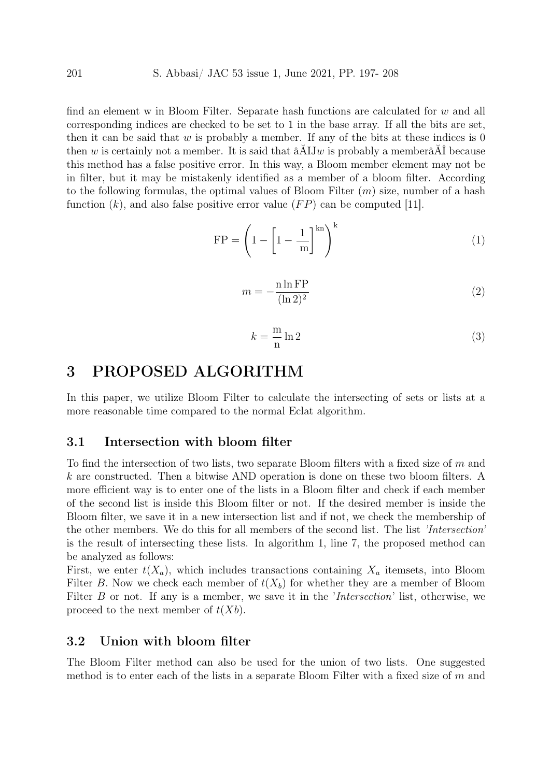find an element w in Bloom Filter. Separate hash functions are calculated for w and all corresponding indices are checked to be set to 1 in the base array. If all the bits are set, then it can be said that w is probably a member. If any of the bits at these indices is  $0$ then w is certainly not a member. It is said that  $\hat{A}$ IJw is probably a member $\hat{A}$ I because this method has a false positive error. In this way, a Bloom member element may not be in filter, but it may be mistakenly identified as a member of a bloom filter. According to the following formulas, the optimal values of Bloom Filter  $(m)$  size, number of a hash function  $(k)$ , and also false positive error value  $(FP)$  can be computed [\[11\]](#page-10-10).

$$
FP = \left(1 - \left[1 - \frac{1}{m}\right]^{kn}\right)^k\tag{1}
$$

<span id="page-4-2"></span>
$$
m = -\frac{\text{n} \ln \text{FP}}{(\ln 2)^2} \tag{2}
$$

<span id="page-4-3"></span><span id="page-4-1"></span>
$$
k = -\frac{m}{n} \ln 2 \tag{3}
$$

# <span id="page-4-0"></span>3 PROPOSED ALGORITHM

In this paper, we utilize Bloom Filter to calculate the intersecting of sets or lists at a more reasonable time compared to the normal Eclat algorithm.

#### 3.1 Intersection with bloom filter

To find the intersection of two lists, two separate Bloom filters with a fixed size of  $m$  and  $k$  are constructed. Then a bitwise AND operation is done on these two bloom filters. A more efficient way is to enter one of the lists in a Bloom filter and check if each member of the second list is inside this Bloom filter or not. If the desired member is inside the Bloom filter, we save it in a new intersection list and if not, we check the membership of the other members. We do this for all members of the second list. The list 'Intersection' is the result of intersecting these lists. In algorithm 1, line 7, the proposed method can be analyzed as follows:

First, we enter  $t(X_a)$ , which includes transactions containing  $X_a$  itemsets, into Bloom Filter B. Now we check each member of  $t(X_b)$  for whether they are a member of Bloom Filter B or not. If any is a member, we save it in the 'Intersection' list, otherwise, we proceed to the next member of  $t(Xb)$ .

#### 3.2 Union with bloom filter

The Bloom Filter method can also be used for the union of two lists. One suggested method is to enter each of the lists in a separate Bloom Filter with a fixed size of  $m$  and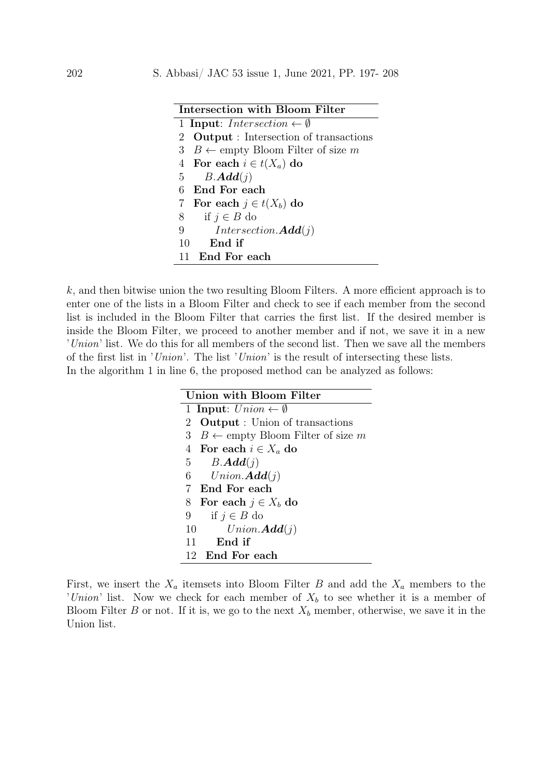| Intersection with Bloom Filter                 |
|------------------------------------------------|
| 1 Input: Intersection $\leftarrow \emptyset$   |
| 2 <b>Output</b> : Intersection of transactions |
| 3 $B \leftarrow$ empty Bloom Filter of size m  |
| 4 For each $i \in t(X_a)$ do                   |
| 5 $B. \mathbf{Add}(j)$                         |
| End For each<br>6                              |
| 7 For each $j \in t(X_b)$ do                   |
| if $j \in B$ do<br>8                           |
| $Intersection.\mathbf{Add}(j)$<br>9            |
| $10$ End if                                    |
| - End For each<br>11                           |

 $k$ , and then bitwise union the two resulting Bloom Filters. A more efficient approach is to enter one of the lists in a Bloom Filter and check to see if each member from the second list is included in the Bloom Filter that carries the first list. If the desired member is inside the Bloom Filter, we proceed to another member and if not, we save it in a new 'Union' list. We do this for all members of the second list. Then we save all the members of the first list in 'Union'. The list 'Union' is the result of intersecting these lists. In the algorithm 1 in line 6, the proposed method can be analyzed as follows:

| Union with Bloom Filter                          |
|--------------------------------------------------|
| 1 Input: $Union \leftarrow \emptyset$            |
| <b>Output</b> : Union of transactions<br>$2^{-}$ |
| 3 $B \leftarrow$ empty Bloom Filter of size m    |
| 4 For each $i \in X_a$ do                        |
| $B. \pmb{Add}(j)$<br>$5\degree$                  |
| $6\quad$<br>$Union.\mathbf{Add}(j)$              |
| End For each<br>7                                |
| For each $j \in X_b$ do<br>8                     |
| if $j \in B$ do<br>9                             |
| 10<br>$Union.\mathbf{Add}(j)$                    |
| End if<br>11                                     |
| End For each<br>12                               |

First, we insert the  $X_a$  itemsets into Bloom Filter B and add the  $X_a$  members to the 'Union' list. Now we check for each member of  $X_b$  to see whether it is a member of Bloom Filter B or not. If it is, we go to the next  $X_b$  member, otherwise, we save it in the Union list.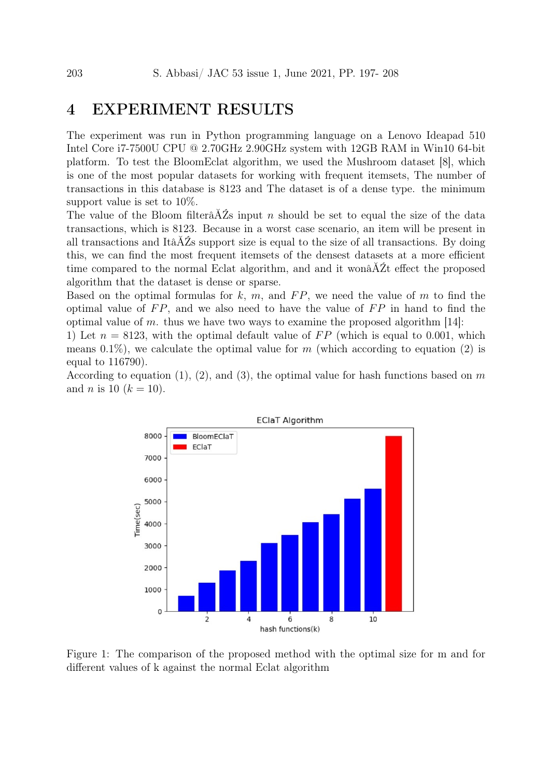# <span id="page-6-0"></span>4 EXPERIMENT RESULTS

The experiment was run in Python programming language on a Lenovo Ideapad 510 Intel Core i7-7500U CPU @ 2.70GHz 2.90GHz system with 12GB RAM in Win10 64-bit platform. To test the BloomEclat algorithm, we used the Mushroom dataset [\[8\]](#page-10-11), which is one of the most popular datasets for working with frequent itemsets, The number of transactions in this database is 8123 and The dataset is of a dense type. the minimum support value is set to 10%.

The value of the Bloom filterâ $\check{A}Z$ s input n should be set to equal the size of the data transactions, which is 8123. Because in a worst case scenario, an item will be present in all transactions and ItâĂŹs support size is equal to the size of all transactions. By doing this, we can find the most frequent itemsets of the densest datasets at a more efficient time compared to the normal Eclat algorithm, and and it wonâĂŹt effect the proposed algorithm that the dataset is dense or sparse.

Based on the optimal formulas for  $k, m$ , and  $FP$ , we need the value of m to find the optimal value of  $FP$ , and we also need to have the value of  $FP$  in hand to find the optimal value of m. thus we have two ways to examine the proposed algorithm  $[14]$ :

1) Let  $n = 8123$ , with the optimal default value of FP (which is equal to 0.001, which means 0.1%), we calculate the optimal value for  $m$  (which according to equation [\(2\)](#page-4-1) is equal to 116790).

According to equation [\(1\)](#page-4-2), [\(2\)](#page-4-1), and [\(3\)](#page-4-3), the optimal value for hash functions based on  $m$ and *n* is 10 ( $k = 10$ ).



<span id="page-6-1"></span>Figure 1: The comparison of the proposed method with the optimal size for m and for different values of k against the normal Eclat algorithm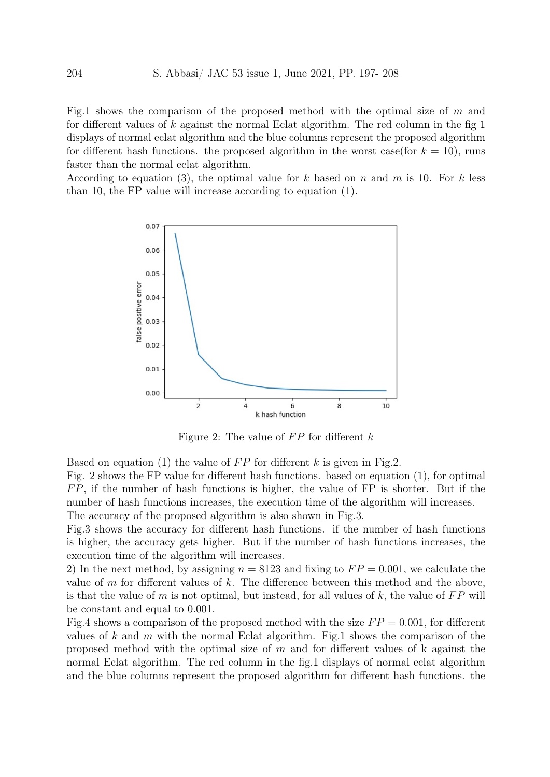Fig[.1](#page-6-1) shows the comparison of the proposed method with the optimal size of  $m$  and for different values of k against the normal Eclat algorithm. The red column in the fig  $1$ displays of normal eclat algorithm and the blue columns represent the proposed algorithm for different hash functions. the proposed algorithm in the worst case(for  $k = 10$ ), runs faster than the normal eclat algorithm.

According to equation [\(3\)](#page-4-3), the optimal value for k based on n and m is 10. For k less than 10, the FP value will increase according to equation [\(1\)](#page-4-2).



<span id="page-7-0"></span>Figure 2: The value of  $FP$  for different k

Based on equation [\(1\)](#page-4-2) the value of  $FP$  for different k is given in Fig[.2.](#page-7-0)

Fig. [2](#page-7-0) shows the FP value for different hash functions. based on equation [\(1\)](#page-4-2), for optimal  $FP$ , if the number of hash functions is higher, the value of  $FP$  is shorter. But if the number of hash functions increases, the execution time of the algorithm will increases. The accuracy of the proposed algorithm is also shown in Fig[.3.](#page-8-0)

Fig[.3](#page-8-0) shows the accuracy for different hash functions. if the number of hash functions is higher, the accuracy gets higher. But if the number of hash functions increases, the execution time of the algorithm will increases.

2) In the next method, by assigning  $n = 8123$  and fixing to  $FP = 0.001$ , we calculate the value of  $m$  for different values of  $k$ . The difference between this method and the above, is that the value of  $m$  is not optimal, but instead, for all values of  $k$ , the value of  $FP$  will be constant and equal to 0.001.

Fig[.4](#page-8-1) shows a comparison of the proposed method with the size  $FP = 0.001$ , for different values of  $k$  and  $m$  with the normal Eclat algorithm. Fig[.1](#page-6-1) shows the comparison of the proposed method with the optimal size of  $m$  and for different values of k against the normal Eclat algorithm. The red column in the fig[.1](#page-6-1) displays of normal eclat algorithm and the blue columns represent the proposed algorithm for different hash functions. the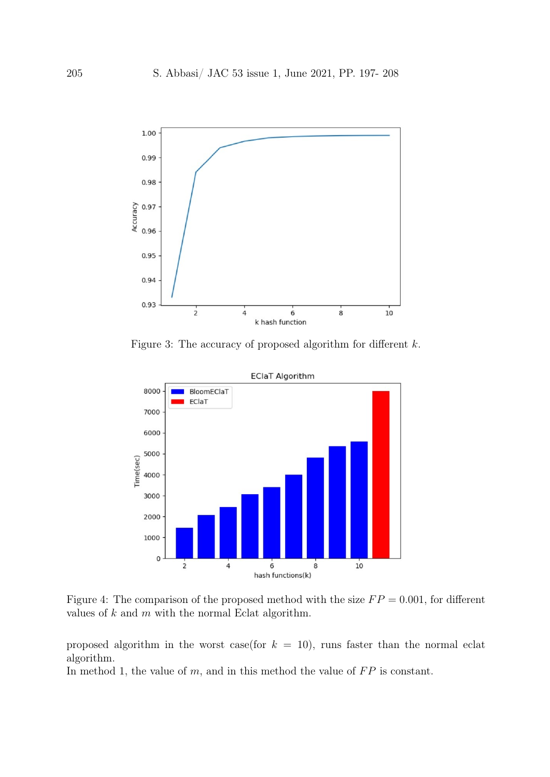

<span id="page-8-0"></span>Figure 3: The accuracy of proposed algorithm for different k.



<span id="page-8-1"></span>Figure 4: The comparison of the proposed method with the size  $FP = 0.001$ , for different values of  $k$  and  $m$  with the normal Eclat algorithm.

proposed algorithm in the worst case(for  $k = 10$ ), runs faster than the normal eclat algorithm.

In method 1, the value of  $m$ , and in this method the value of  $FP$  is constant.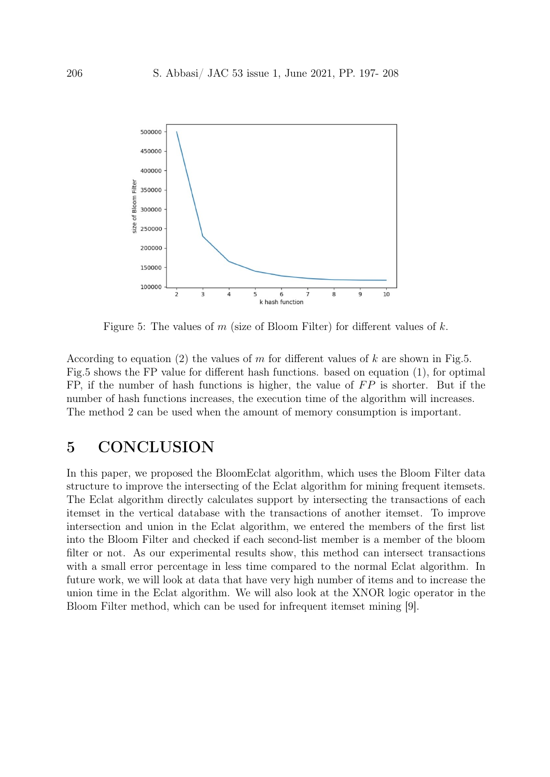

<span id="page-9-1"></span>Figure 5: The values of  $m$  (size of Bloom Filter) for different values of  $k$ .

According to equation [\(2\)](#page-4-1) the values of m for different values of k are shown in Fig[.5.](#page-9-1) Fig[.5](#page-9-1) shows the FP value for different hash functions. based on equation [\(1\)](#page-4-2), for optimal FP, if the number of hash functions is higher, the value of  $FP$  is shorter. But if the number of hash functions increases, the execution time of the algorithm will increases. The method 2 can be used when the amount of memory consumption is important.

# <span id="page-9-0"></span>5 CONCLUSION

In this paper, we proposed the BloomEclat algorithm, which uses the Bloom Filter data structure to improve the intersecting of the Eclat algorithm for mining frequent itemsets. The Eclat algorithm directly calculates support by intersecting the transactions of each itemset in the vertical database with the transactions of another itemset. To improve intersection and union in the Eclat algorithm, we entered the members of the first list into the Bloom Filter and checked if each second-list member is a member of the bloom filter or not. As our experimental results show, this method can intersect transactions with a small error percentage in less time compared to the normal Eclat algorithm. In future work, we will look at data that have very high number of items and to increase the union time in the Eclat algorithm. We will also look at the XNOR logic operator in the Bloom Filter method, which can be used for infrequent itemset mining [\[9\]](#page-10-13).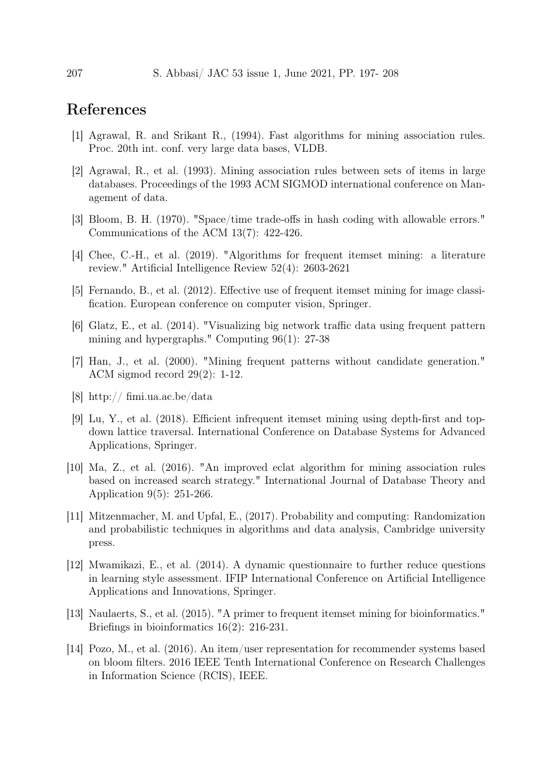# References

- <span id="page-10-5"></span>[1] Agrawal, R. and Srikant R., (1994). Fast algorithms for mining association rules. Proc. 20th int. conf. very large data bases, VLDB.
- <span id="page-10-4"></span>[2] Agrawal, R., et al. (1993). Mining association rules between sets of items in large databases. Proceedings of the 1993 ACM SIGMOD international conference on Management of data.
- <span id="page-10-9"></span>[3] Bloom, B. H. (1970). "Space/time trade-offs in hash coding with allowable errors." Communications of the ACM 13(7): 422-426.
- <span id="page-10-6"></span>[4] Chee, C.-H., et al. (2019). "Algorithms for frequent itemset mining: a literature review." Artificial Intelligence Review 52(4): 2603-2621
- <span id="page-10-1"></span>[5] Fernando, B., et al. (2012). Effective use of frequent itemset mining for image classification. European conference on computer vision, Springer.
- <span id="page-10-2"></span>[6] Glatz, E., et al. (2014). "Visualizing big network traffic data using frequent pattern mining and hypergraphs." Computing 96(1): 27-38
- <span id="page-10-7"></span>[7] Han, J., et al. (2000). "Mining frequent patterns without candidate generation." ACM sigmod record 29(2): 1-12.
- <span id="page-10-11"></span>[8] http:// fimi.ua.ac.be/data
- <span id="page-10-13"></span>[9] Lu, Y., et al. (2018). Efficient infrequent itemset mining using depth-first and topdown lattice traversal. International Conference on Database Systems for Advanced Applications, Springer.
- <span id="page-10-8"></span>[10] Ma, Z., et al. (2016). "An improved eclat algorithm for mining association rules based on increased search strategy." International Journal of Database Theory and Application 9(5): 251-266.
- <span id="page-10-10"></span>[11] Mitzenmacher, M. and Upfal, E., (2017). Probability and computing: Randomization and probabilistic techniques in algorithms and data analysis, Cambridge university press.
- <span id="page-10-3"></span>[12] Mwamikazi, E., et al. (2014). A dynamic questionnaire to further reduce questions in learning style assessment. IFIP International Conference on Artificial Intelligence Applications and Innovations, Springer.
- <span id="page-10-0"></span>[13] Naulaerts, S., et al. (2015). "A primer to frequent itemset mining for bioinformatics." Briefings in bioinformatics 16(2): 216-231.
- <span id="page-10-12"></span>[14] Pozo, M., et al. (2016). An item/user representation for recommender systems based on bloom filters. 2016 IEEE Tenth International Conference on Research Challenges in Information Science (RCIS), IEEE.